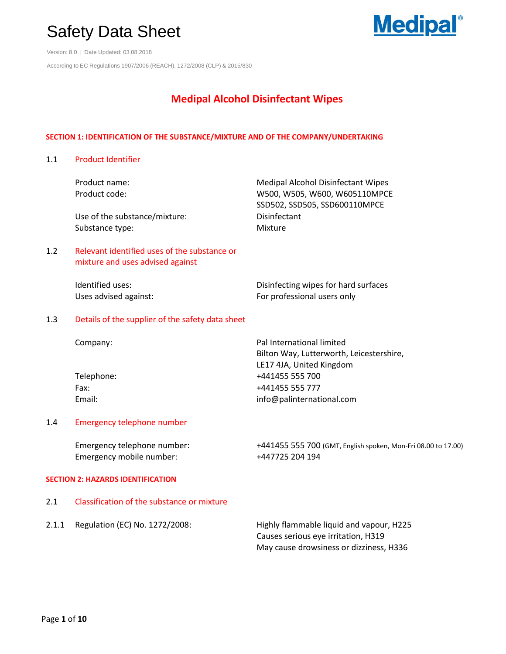

Version: 8.0 | Date Updated: 03.08.2018 According to EC Regulations 1907/2006 (REACH), 1272/2008 (CLP) & 2015/830

### **Medipal Alcohol Disinfectant Wipes**

#### **SECTION 1: IDENTIFICATION OF THE SUBSTANCE/MIXTURE AND OF THE COMPANY/UNDERTAKING**

### 1.1 Product Identifier Product name: Medipal Alcohol Disinfectant Wipes Product code: W500, W505, W600, W605110MPCE SSD502, SSD505, SSD600110MPCE Use of the substance/mixture: Disinfectant Substance type: Mixture 1.2 Relevant identified uses of the substance or mixture and uses advised against Identified uses: Disinfecting wipes for hard surfaces Uses advised against: The professional users only 1.3 Details of the supplier of the safety data sheet Company: Pal International limited Bilton Way, Lutterworth, Leicestershire, LE17 4JA, United Kingdom Telephone: +441455 555 700 Fax: +441455 555 777 Email: info@palinternational.com 1.4 Emergency telephone number

| Emergency telephone number: | +441455 555 700 (GMT, English spoken, Mon-Fri 08.00 to 17.00) |
|-----------------------------|---------------------------------------------------------------|
| Emergency mobile number:    | +447725 204 194                                               |

#### **SECTION 2: HAZARDS IDENTIFICATION**

- 2.1 Classification of the substance or mixture
- 2.1.1 Regulation (EC) No. 1272/2008: Highly flammable liquid and vapour, H225 Causes serious eye irritation, H319 May cause drowsiness or dizziness, H336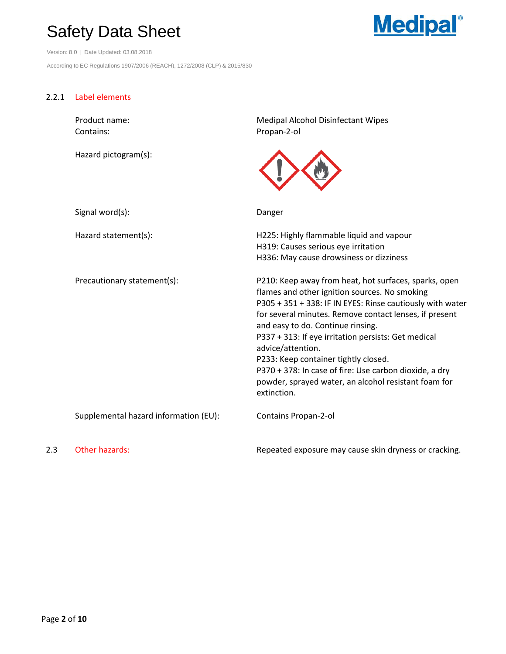

Version: 8.0 | Date Updated: 03.08.2018 According to EC Regulations 1907/2006 (REACH), 1272/2008 (CLP) & 2015/830

### 2.2.1 Label elements

Contains: Propan-2-ol

Hazard pictogram(s):

Product name: The Medipal Alcohol Disinfectant Wipes



| Signal word(s):                       | Danger                                                                                                                                                                                                                                                                                                                                                                                                                                                                                                                  |
|---------------------------------------|-------------------------------------------------------------------------------------------------------------------------------------------------------------------------------------------------------------------------------------------------------------------------------------------------------------------------------------------------------------------------------------------------------------------------------------------------------------------------------------------------------------------------|
| Hazard statement(s):                  | H225: Highly flammable liquid and vapour<br>H319: Causes serious eye irritation<br>H336: May cause drowsiness or dizziness                                                                                                                                                                                                                                                                                                                                                                                              |
| Precautionary statement(s):           | P210: Keep away from heat, hot surfaces, sparks, open<br>flames and other ignition sources. No smoking<br>P305 + 351 + 338: IF IN EYES: Rinse cautiously with water<br>for several minutes. Remove contact lenses, if present<br>and easy to do. Continue rinsing.<br>P337 + 313: If eye irritation persists: Get medical<br>advice/attention.<br>P233: Keep container tightly closed.<br>P370 + 378: In case of fire: Use carbon dioxide, a dry<br>powder, sprayed water, an alcohol resistant foam for<br>extinction. |
| Supplemental hazard information (EU): | Contains Propan-2-ol                                                                                                                                                                                                                                                                                                                                                                                                                                                                                                    |

2.3 Other hazards: Cause 3.3 Other hazards: Repeated exposure may cause skin dryness or cracking.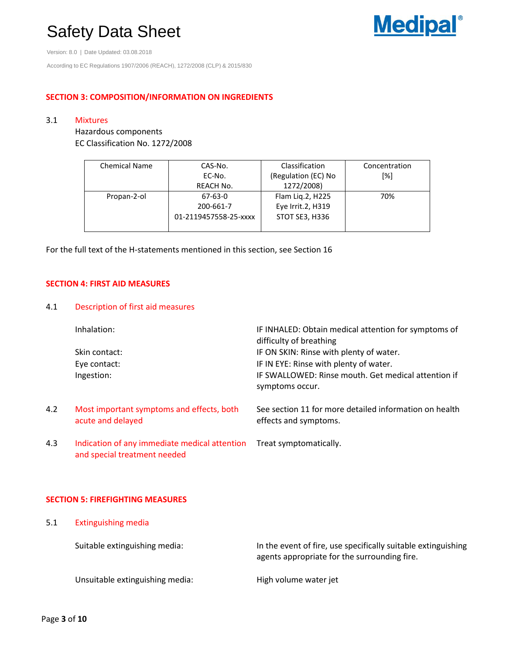

Version: 8.0 | Date Updated: 03.08.2018 According to EC Regulations 1907/2006 (REACH), 1272/2008 (CLP) & 2015/830

### **SECTION 3: COMPOSITION/INFORMATION ON INGREDIENTS**

#### 3.1 Mixtures

Hazardous components EC Classification No. 1272/2008

| <b>Chemical Name</b> | CAS-No.               | Classification      | Concentration |
|----------------------|-----------------------|---------------------|---------------|
|                      | EC-No.                | (Regulation (EC) No | [%]           |
|                      | REACH No.             | 1272/2008)          |               |
| Propan-2-ol          | 67-63-0               | Flam Lig.2, H225    | 70%           |
|                      | 200-661-7             | Eye Irrit.2, H319   |               |
|                      | 01-2119457558-25-xxxx | STOT SE3, H336      |               |
|                      |                       |                     |               |

For the full text of the H-statements mentioned in this section, see Section 16

#### **SECTION 4: FIRST AID MEASURES**

### 4.1 Description of first aid measures

|     | Inhalation:                                                                   | IF INHALED: Obtain medical attention for symptoms of<br>difficulty of breathing |
|-----|-------------------------------------------------------------------------------|---------------------------------------------------------------------------------|
|     | Skin contact:                                                                 | IF ON SKIN: Rinse with plenty of water.                                         |
|     | Eye contact:                                                                  | IF IN EYE: Rinse with plenty of water.                                          |
|     | Ingestion:                                                                    | IF SWALLOWED: Rinse mouth. Get medical attention if<br>symptoms occur.          |
| 4.2 | Most important symptoms and effects, both<br>acute and delayed                | See section 11 for more detailed information on health<br>effects and symptoms. |
| 4.3 | Indication of any immediate medical attention<br>and special treatment needed | Treat symptomatically.                                                          |

#### **SECTION 5: FIREFIGHTING MEASURES**

| 5.1 | <b>Extinguishing media</b>      |                                                                                                               |  |  |
|-----|---------------------------------|---------------------------------------------------------------------------------------------------------------|--|--|
|     | Suitable extinguishing media:   | In the event of fire, use specifically suitable extinguishing<br>agents appropriate for the surrounding fire. |  |  |
|     | Unsuitable extinguishing media: | High volume water jet                                                                                         |  |  |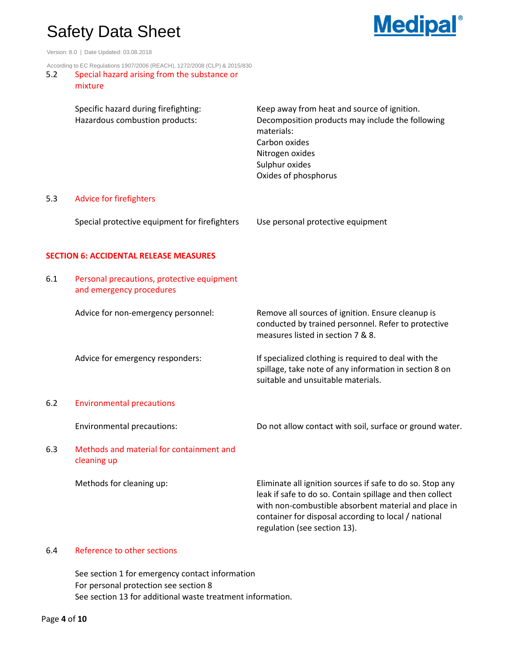

Version: 8.0 | Date Updated: 03.08.2018

 $5.3$ 

According to EC Regulations 1907/2006 (REACH), 1272/2008 (CLP) & 2015/830

#### 5.2 Special hazard arising from the substance or mixture

| Specific hazard during firefighting:<br>Hazardous combustion products: | Keep away from heat and source of ignition.<br>Decomposition products may include the following<br>materials:<br>Carbon oxides<br>Nitrogen oxides<br>Sulphur oxides<br>Oxides of phosphorus |
|------------------------------------------------------------------------|---------------------------------------------------------------------------------------------------------------------------------------------------------------------------------------------|
| Advice for firefighters                                                |                                                                                                                                                                                             |

### Special protective equipment for firefighters Use personal protective equipment

### **SECTION 6: ACCIDENTAL RELEASE MEASURES**

| 6.1 | Personal precautions, protective equipment<br>and emergency procedures |                                                                                                                                                                                                                                                                       |
|-----|------------------------------------------------------------------------|-----------------------------------------------------------------------------------------------------------------------------------------------------------------------------------------------------------------------------------------------------------------------|
|     | Advice for non-emergency personnel:                                    | Remove all sources of ignition. Ensure cleanup is<br>conducted by trained personnel. Refer to protective<br>measures listed in section 7 & 8.                                                                                                                         |
|     | Advice for emergency responders:                                       | If specialized clothing is required to deal with the<br>spillage, take note of any information in section 8 on<br>suitable and unsuitable materials.                                                                                                                  |
| 6.2 | <b>Environmental precautions</b>                                       |                                                                                                                                                                                                                                                                       |
|     | Environmental precautions:                                             | Do not allow contact with soil, surface or ground water.                                                                                                                                                                                                              |
| 6.3 | Methods and material for containment and<br>cleaning up                |                                                                                                                                                                                                                                                                       |
|     | Methods for cleaning up:                                               | Eliminate all ignition sources if safe to do so. Stop any<br>leak if safe to do so. Contain spillage and then collect<br>with non-combustible absorbent material and place in<br>container for disposal according to local / national<br>regulation (see section 13). |

### 6.4 Reference to other sections

See section 1 for emergency contact information For personal protection see section 8 See section 13 for additional waste treatment information.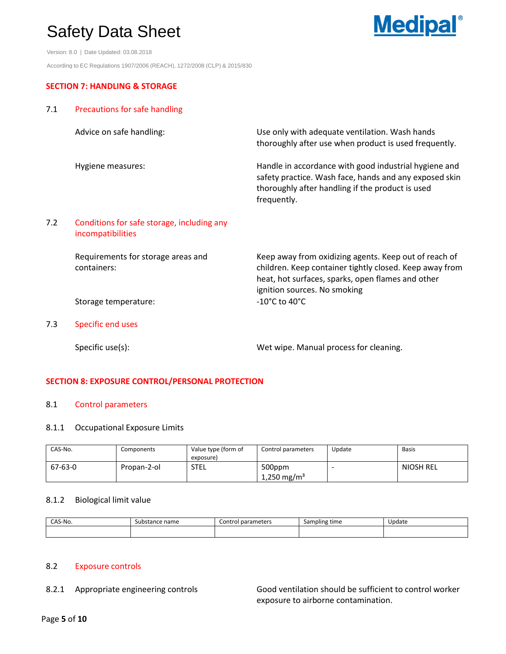

Version: 8.0 | Date Updated: 03.08.2018 According to EC Regulations 1907/2006 (REACH), 1272/2008 (CLP) & 2015/830

### **SECTION 7: HANDLING & STORAGE**

| 7.1 | Precautions for safe handling                                   |                                                                                                                                                                                                       |
|-----|-----------------------------------------------------------------|-------------------------------------------------------------------------------------------------------------------------------------------------------------------------------------------------------|
|     | Advice on safe handling:                                        | Use only with adequate ventilation. Wash hands<br>thoroughly after use when product is used frequently.                                                                                               |
|     | Hygiene measures:                                               | Handle in accordance with good industrial hygiene and<br>safety practice. Wash face, hands and any exposed skin<br>thoroughly after handling if the product is used<br>frequently.                    |
| 7.2 | Conditions for safe storage, including any<br>incompatibilities |                                                                                                                                                                                                       |
|     | Requirements for storage areas and<br>containers:               | Keep away from oxidizing agents. Keep out of reach of<br>children. Keep container tightly closed. Keep away from<br>heat, hot surfaces, sparks, open flames and other<br>ignition sources. No smoking |
|     | Storage temperature:                                            | $-10^{\circ}$ C to 40 $^{\circ}$ C                                                                                                                                                                    |
| 7.3 | Specific end uses                                               |                                                                                                                                                                                                       |

Specific use(s): Specific use(s): Wet wipe. Manual process for cleaning.

### **SECTION 8: EXPOSURE CONTROL/PERSONAL PROTECTION**

### 8.1 Control parameters

### 8.1.1 Occupational Exposure Limits

| CAS-No. | Components  | Value type (form of<br>exposure) | Control parameters                | Update | <b>Basis</b> |
|---------|-------------|----------------------------------|-----------------------------------|--------|--------------|
| 67-63-0 | Propan-2-ol | <b>STEL</b>                      | 500ppm<br>1,250 mg/m <sup>3</sup> |        | NIOSH REL    |

### 8.1.2 Biological limit value

| CAS-No. | name<br>substance is | <b>parameters</b><br>Control | Sampling time | Update |
|---------|----------------------|------------------------------|---------------|--------|
|         |                      |                              |               |        |

### 8.2 Exposure controls

8.2.1 Appropriate engineering controls Good ventilation should be sufficient to control worker exposure to airborne contamination.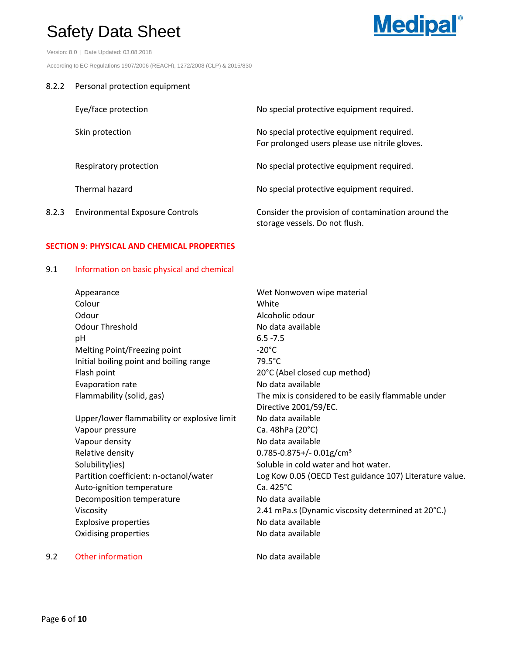Version: 8.0 | Date Updated: 03.08.2018

According to EC Regulations 1907/2006 (REACH), 1272/2008 (CLP) & 2015/830



### 8.2.2 Personal protection equipment

|       | Eye/face protection                    | No special protective equipment required.                                                   |
|-------|----------------------------------------|---------------------------------------------------------------------------------------------|
|       | Skin protection                        | No special protective equipment required.<br>For prolonged users please use nitrile gloves. |
|       | Respiratory protection                 | No special protective equipment required.                                                   |
|       | Thermal hazard                         | No special protective equipment required.                                                   |
| 8.2.3 | <b>Environmental Exposure Controls</b> | Consider the provision of contamination around the<br>storage vessels. Do not flush.        |

### **SECTION 9: PHYSICAL AND CHEMICAL PROPERTIES**

### 9.1 Information on basic physical and chemical

| Appearance                                  | Wet Nonwoven wipe material                              |
|---------------------------------------------|---------------------------------------------------------|
| Colour                                      | White                                                   |
| Odour                                       | Alcoholic odour                                         |
| <b>Odour Threshold</b>                      | No data available                                       |
| рH                                          | $6.5 - 7.5$                                             |
| Melting Point/Freezing point                | $-20^{\circ}$ C                                         |
| Initial boiling point and boiling range     | 79.5°C                                                  |
| Flash point                                 | 20°C (Abel closed cup method)                           |
| Evaporation rate                            | No data available                                       |
| Flammability (solid, gas)                   | The mix is considered to be easily flammable under      |
|                                             | Directive 2001/59/EC.                                   |
| Upper/lower flammability or explosive limit | No data available                                       |
| Vapour pressure                             | Ca. 48hPa (20°C)                                        |
| Vapour density                              | No data available                                       |
| Relative density                            | $0.785 - 0.875 + (-0.01)$ cm <sup>3</sup>               |
| Solubility(ies)                             | Soluble in cold water and hot water.                    |
| Partition coefficient: n-octanol/water      | Log Kow 0.05 (OECD Test guidance 107) Literature value. |
| Auto-ignition temperature                   | Ca. 425°C                                               |
| Decomposition temperature                   | No data available                                       |
| Viscosity                                   | 2.41 mPa.s (Dynamic viscosity determined at 20°C.)      |
| <b>Explosive properties</b>                 | No data available                                       |
| Oxidising properties                        | No data available                                       |
|                                             |                                                         |

### 9.2 Other information Christian Christian Modata available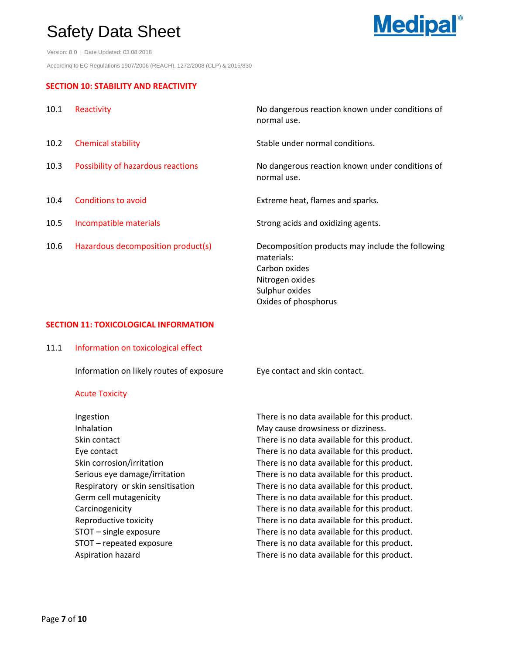

Version: 8.0 | Date Updated: 03.08.2018 According to EC Regulations 1907/2006 (REACH), 1272/2008 (CLP) & 2015/830

### **SECTION 10: STABILITY AND REACTIVITY**

| 10.1 | Reactivity                         | No dangerous reaction known under conditions of<br>normal use.                                                                               |
|------|------------------------------------|----------------------------------------------------------------------------------------------------------------------------------------------|
| 10.2 | <b>Chemical stability</b>          | Stable under normal conditions.                                                                                                              |
| 10.3 | Possibility of hazardous reactions | No dangerous reaction known under conditions of<br>normal use.                                                                               |
| 10.4 | Conditions to avoid                | Extreme heat, flames and sparks.                                                                                                             |
| 10.5 | Incompatible materials             | Strong acids and oxidizing agents.                                                                                                           |
| 10.6 | Hazardous decomposition product(s) | Decomposition products may include the following<br>materials:<br>Carbon oxides<br>Nitrogen oxides<br>Sulphur oxides<br>Oxides of phosphorus |

### **SECTION 11: TOXICOLOGICAL INFORMATION**

### 11.1 Information on toxicological effect

Information on likely routes of exposure Eye contact and skin contact.

Acute Toxicity

| Ingestion                         | There is no data available for this product. |
|-----------------------------------|----------------------------------------------|
| Inhalation                        | May cause drowsiness or dizziness.           |
| Skin contact                      | There is no data available for this product. |
| Eye contact                       | There is no data available for this product. |
| Skin corrosion/irritation         | There is no data available for this product. |
| Serious eye damage/irritation     | There is no data available for this product. |
| Respiratory or skin sensitisation | There is no data available for this product. |
| Germ cell mutagenicity            | There is no data available for this product. |
| Carcinogenicity                   | There is no data available for this product. |
| Reproductive toxicity             | There is no data available for this product. |
| STOT – single exposure            | There is no data available for this product. |
| STOT - repeated exposure          | There is no data available for this product. |
| Aspiration hazard                 | There is no data available for this product. |
|                                   |                                              |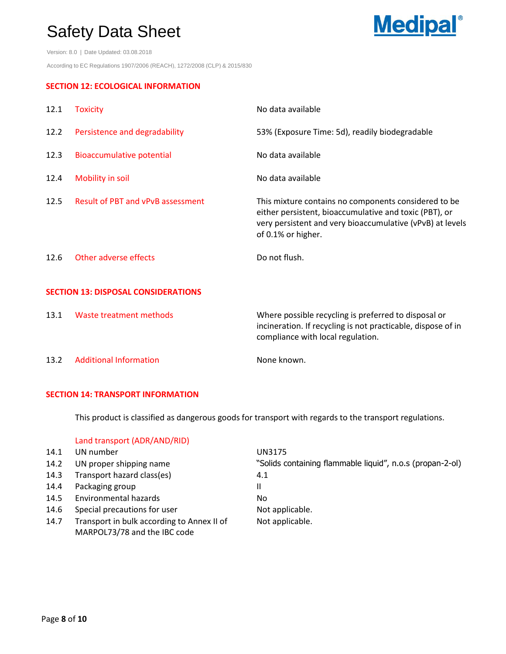

Version: 8.0 | Date Updated: 03.08.2018 According to EC Regulations 1907/2006 (REACH), 1272/2008 (CLP) & 2015/830

### **SECTION 12: ECOLOGICAL INFORMATION**

| 12.1 | <b>Toxicity</b>                            | No data available                                                                                                                                                                                 |
|------|--------------------------------------------|---------------------------------------------------------------------------------------------------------------------------------------------------------------------------------------------------|
| 12.2 | Persistence and degradability              | 53% (Exposure Time: 5d), readily biodegradable                                                                                                                                                    |
| 12.3 | <b>Bioaccumulative potential</b>           | No data available                                                                                                                                                                                 |
| 12.4 | Mobility in soil                           | No data available                                                                                                                                                                                 |
| 12.5 | <b>Result of PBT and vPvB assessment</b>   | This mixture contains no components considered to be<br>either persistent, bioaccumulative and toxic (PBT), or<br>very persistent and very bioaccumulative (vPvB) at levels<br>of 0.1% or higher. |
| 12.6 | Other adverse effects                      | Do not flush.                                                                                                                                                                                     |
|      | <b>SECTION 13: DISPOSAL CONSIDERATIONS</b> |                                                                                                                                                                                                   |
| 13.1 | Waste treatment methods                    | Where possible recycling is preferred to disposal or<br>incineration. If recycling is not practicable, dispose of in<br>compliance with local regulation.                                         |
| 13.2 | <b>Additional Information</b>              | None known.                                                                                                                                                                                       |

### **SECTION 14: TRANSPORT INFORMATION**

This product is classified as dangerous goods for transport with regards to the transport regulations.

### Land transport (ADR/AND/RID)

| 14.1 | UN number                                                                  | UN3175                                                    |
|------|----------------------------------------------------------------------------|-----------------------------------------------------------|
| 14.2 | UN proper shipping name                                                    | "Solids containing flammable liquid", n.o.s (propan-2-ol) |
| 14.3 | Transport hazard class(es)                                                 | 4.1                                                       |
| 14.4 | Packaging group                                                            | Ш                                                         |
| 14.5 | Environmental hazards                                                      | No                                                        |
| 14.6 | Special precautions for user                                               | Not applicable.                                           |
| 14.7 | Transport in bulk according to Annex II of<br>MARPOL73/78 and the IBC code | Not applicable.                                           |
|      |                                                                            |                                                           |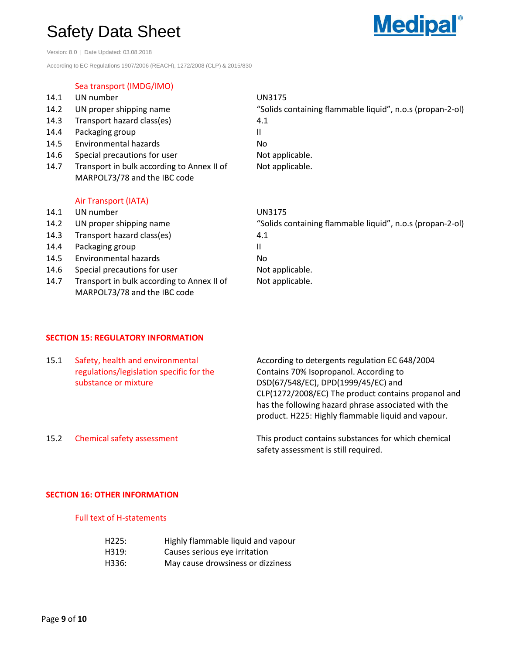

Version: 8.0 | Date Updated: 03.08.2018

According to EC Regulations 1907/2006 (REACH), 1272/2008 (CLP) & 2015/830

### Sea transport (IMDG/IMO)

| 14.1 | UN number                                  | <b>UN3175</b>                                             |
|------|--------------------------------------------|-----------------------------------------------------------|
| 14.2 | UN proper shipping name                    | "Solids containing flammable liquid", n.o.s (propan-2-ol) |
| 14.3 | Transport hazard class(es)                 | 4.1                                                       |
| 14.4 | Packaging group                            | Ш                                                         |
| 14.5 | Environmental hazards                      | No.                                                       |
| 14.6 | Special precautions for user               | Not applicable.                                           |
| 14.7 | Transport in bulk according to Annex II of | Not applicable.                                           |
|      | MARPOL73/78 and the IBC code               |                                                           |
|      |                                            |                                                           |
|      | Air Transport (IATA)                       |                                                           |
| 14.1 | UN number                                  | <b>UN3175</b>                                             |
| 14.2 | UN proper shipping name                    | "Solids containing flammable liquid", n.o.s (propan-2-ol) |
| 14.3 | Transport hazard class(es)                 | 4.1                                                       |
| 14.4 | Packaging group                            | $\mathbf{H}$                                              |
| 14.5 | Environmental hazards                      | No.                                                       |
| 14.6 | Special precautions for user               | Not applicable.                                           |
| 14.7 | Transport in bulk according to Annex II of | Not applicable.                                           |

#### **SECTION 15: REGULATORY INFORMATION**

MARPOL73/78 and the IBC code

| 15.1 | Safety, health and environmental<br>regulations/legislation specific for the<br>substance or mixture | According to detergents regulation EC 648/2004<br>Contains 70% Isopropanol. According to<br>DSD(67/548/EC), DPD(1999/45/EC) and<br>CLP(1272/2008/EC) The product contains propanol and<br>has the following hazard phrase associated with the<br>product. H225: Highly flammable liquid and vapour. |
|------|------------------------------------------------------------------------------------------------------|-----------------------------------------------------------------------------------------------------------------------------------------------------------------------------------------------------------------------------------------------------------------------------------------------------|
| 15.2 | Chemical safety assessment                                                                           | This product contains substances for which chemical                                                                                                                                                                                                                                                 |

safety assessment is still required.

### **SECTION 16: OTHER INFORMATION**

### Full text of H-statements

| H225: | Highly flammable liquid and vapour |
|-------|------------------------------------|
| H319: | Causes serious eye irritation      |
| H336: | May cause drowsiness or dizziness  |